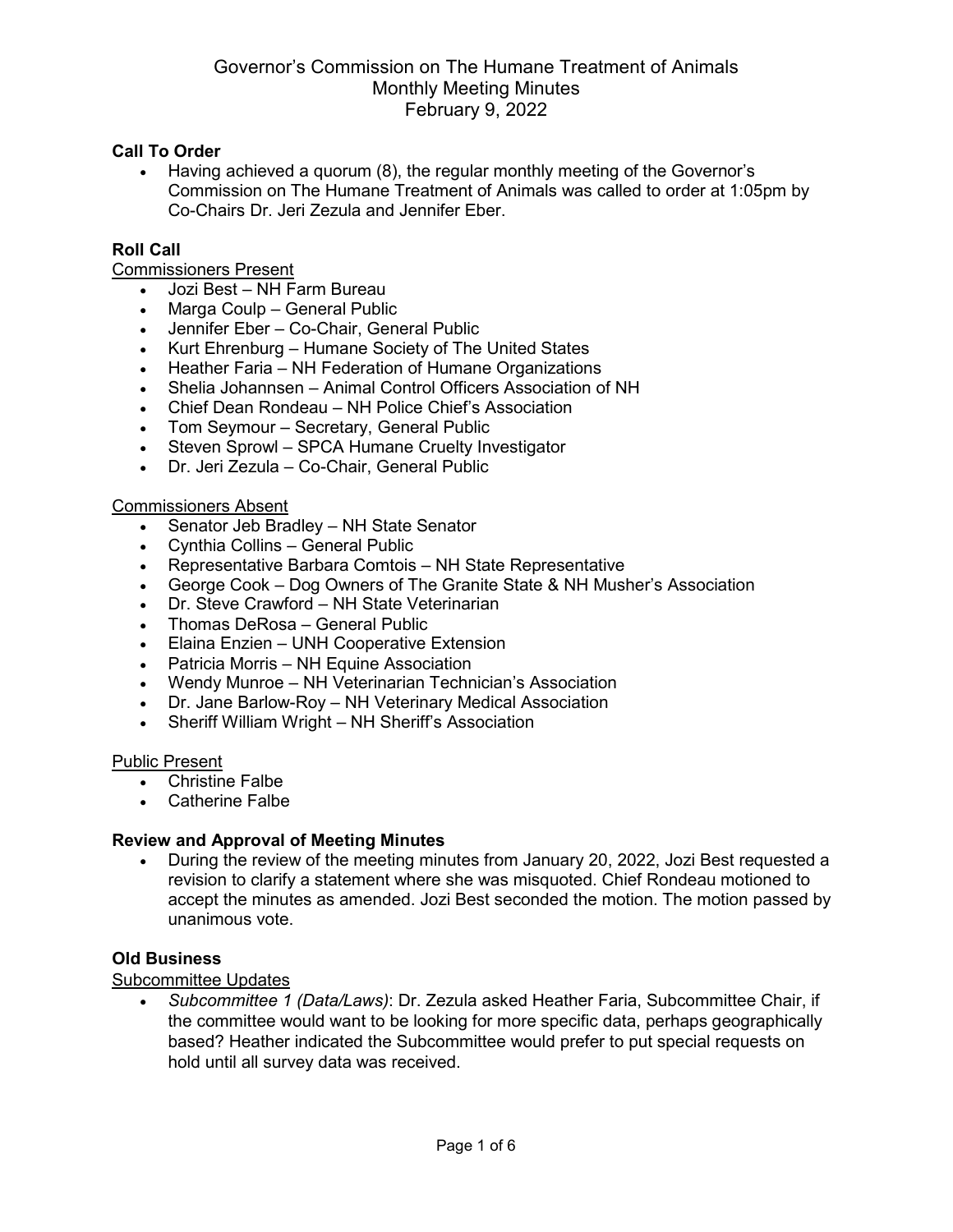#### **Call To Order**

• Having achieved a quorum (8), the regular monthly meeting of the Governor's Commission on The Humane Treatment of Animals was called to order at 1:05pm by Co-Chairs Dr. Jeri Zezula and Jennifer Eber.

### **Roll Call**

Commissioners Present

- Jozi Best NH Farm Bureau
- Marga Coulp General Public
- Jennifer Eber Co-Chair, General Public
- Kurt Ehrenburg Humane Society of The United States
- Heather Faria NH Federation of Humane Organizations
- Shelia Johannsen Animal Control Officers Association of NH
- Chief Dean Rondeau NH Police Chief's Association
- Tom Seymour Secretary, General Public
- Steven Sprowl SPCA Humane Cruelty Investigator
- Dr. Jeri Zezula Co-Chair, General Public

#### Commissioners Absent

- Senator Jeb Bradley NH State Senator
- Cynthia Collins General Public
- Representative Barbara Comtois NH State Representative
- George Cook Dog Owners of The Granite State & NH Musher's Association
- Dr. Steve Crawford NH State Veterinarian
- Thomas DeRosa General Public
- Elaina Enzien UNH Cooperative Extension
- Patricia Morris NH Equine Association
- Wendy Munroe NH Veterinarian Technician's Association
- Dr. Jane Barlow-Roy NH Veterinary Medical Association
- Sheriff William Wright NH Sheriff's Association

#### Public Present

- Christine Falbe
- Catherine Falbe

### **Review and Approval of Meeting Minutes**

• During the review of the meeting minutes from January 20, 2022, Jozi Best requested a revision to clarify a statement where she was misquoted. Chief Rondeau motioned to accept the minutes as amended. Jozi Best seconded the motion. The motion passed by unanimous vote.

#### **Old Business**

### Subcommittee Updates

• *Subcommittee 1 (Data/Laws)*: Dr. Zezula asked Heather Faria, Subcommittee Chair, if the committee would want to be looking for more specific data, perhaps geographically based? Heather indicated the Subcommittee would prefer to put special requests on hold until all survey data was received.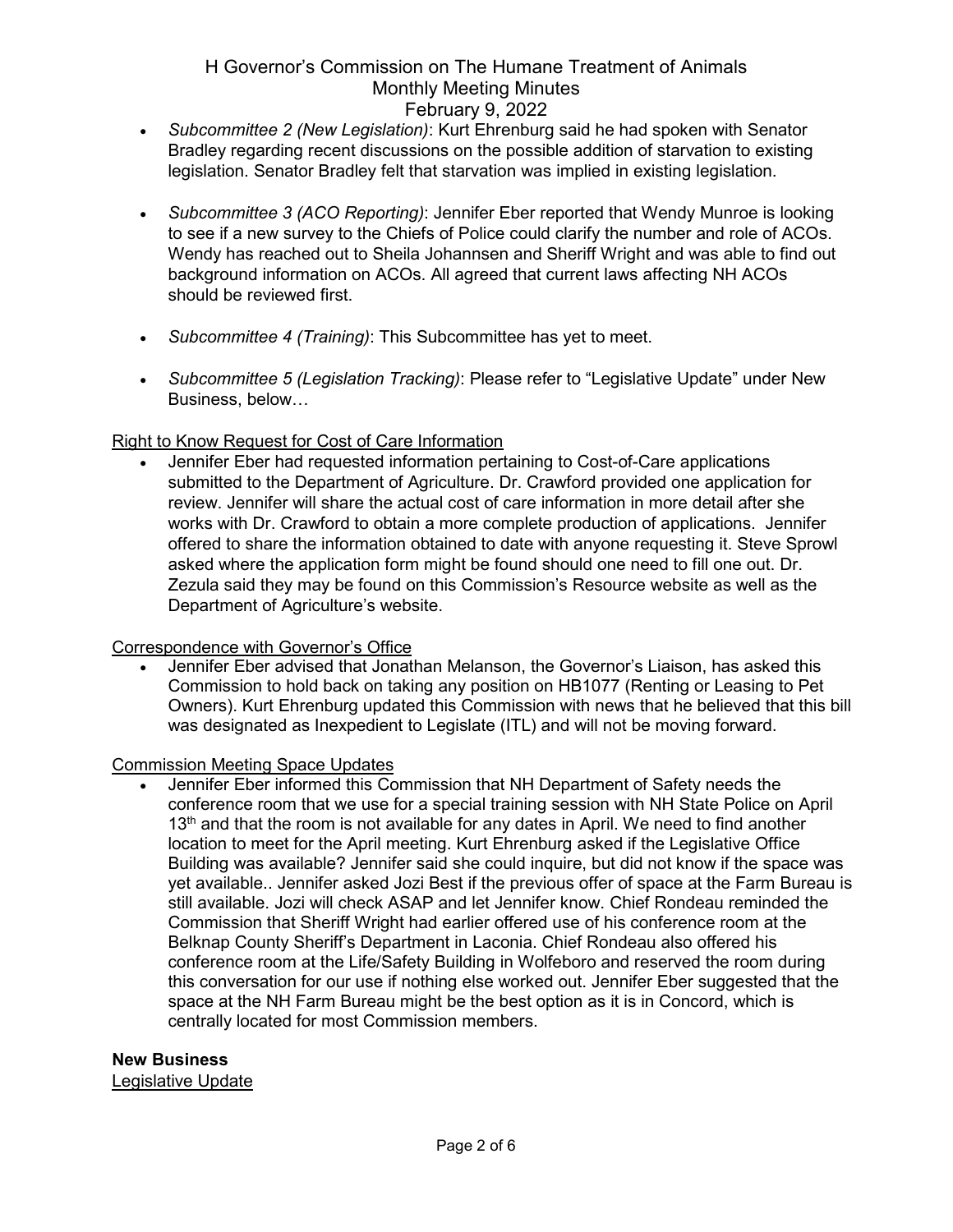- *Subcommittee 2 (New Legislation)*: Kurt Ehrenburg said he had spoken with Senator Bradley regarding recent discussions on the possible addition of starvation to existing legislation. Senator Bradley felt that starvation was implied in existing legislation.
- *Subcommittee 3 (ACO Reporting)*: Jennifer Eber reported that Wendy Munroe is looking to see if a new survey to the Chiefs of Police could clarify the number and role of ACOs. Wendy has reached out to Sheila Johannsen and Sheriff Wright and was able to find out background information on ACOs. All agreed that current laws affecting NH ACOs should be reviewed first.
- *Subcommittee 4 (Training)*: This Subcommittee has yet to meet.
- *Subcommittee 5 (Legislation Tracking)*: Please refer to "Legislative Update" under New Business, below…

## Right to Know Request for Cost of Care Information

• Jennifer Eber had requested information pertaining to Cost-of-Care applications submitted to the Department of Agriculture. Dr. Crawford provided one application for review. Jennifer will share the actual cost of care information in more detail after she works with Dr. Crawford to obtain a more complete production of applications. Jennifer offered to share the information obtained to date with anyone requesting it. Steve Sprowl asked where the application form might be found should one need to fill one out. Dr. Zezula said they may be found on this Commission's Resource website as well as the Department of Agriculture's website.

### Correspondence with Governor's Office

• Jennifer Eber advised that Jonathan Melanson, the Governor's Liaison, has asked this Commission to hold back on taking any position on HB1077 (Renting or Leasing to Pet Owners). Kurt Ehrenburg updated this Commission with news that he believed that this bill was designated as Inexpedient to Legislate (ITL) and will not be moving forward.

### Commission Meeting Space Updates

• Jennifer Eber informed this Commission that NH Department of Safety needs the conference room that we use for a special training session with NH State Police on April  $13<sup>th</sup>$  and that the room is not available for any dates in April. We need to find another location to meet for the April meeting. Kurt Ehrenburg asked if the Legislative Office Building was available? Jennifer said she could inquire, but did not know if the space was yet available.. Jennifer asked Jozi Best if the previous offer of space at the Farm Bureau is still available. Jozi will check ASAP and let Jennifer know. Chief Rondeau reminded the Commission that Sheriff Wright had earlier offered use of his conference room at the Belknap County Sheriff's Department in Laconia. Chief Rondeau also offered his conference room at the Life/Safety Building in Wolfeboro and reserved the room during this conversation for our use if nothing else worked out. Jennifer Eber suggested that the space at the NH Farm Bureau might be the best option as it is in Concord, which is centrally located for most Commission members.

### **New Business**

Legislative Update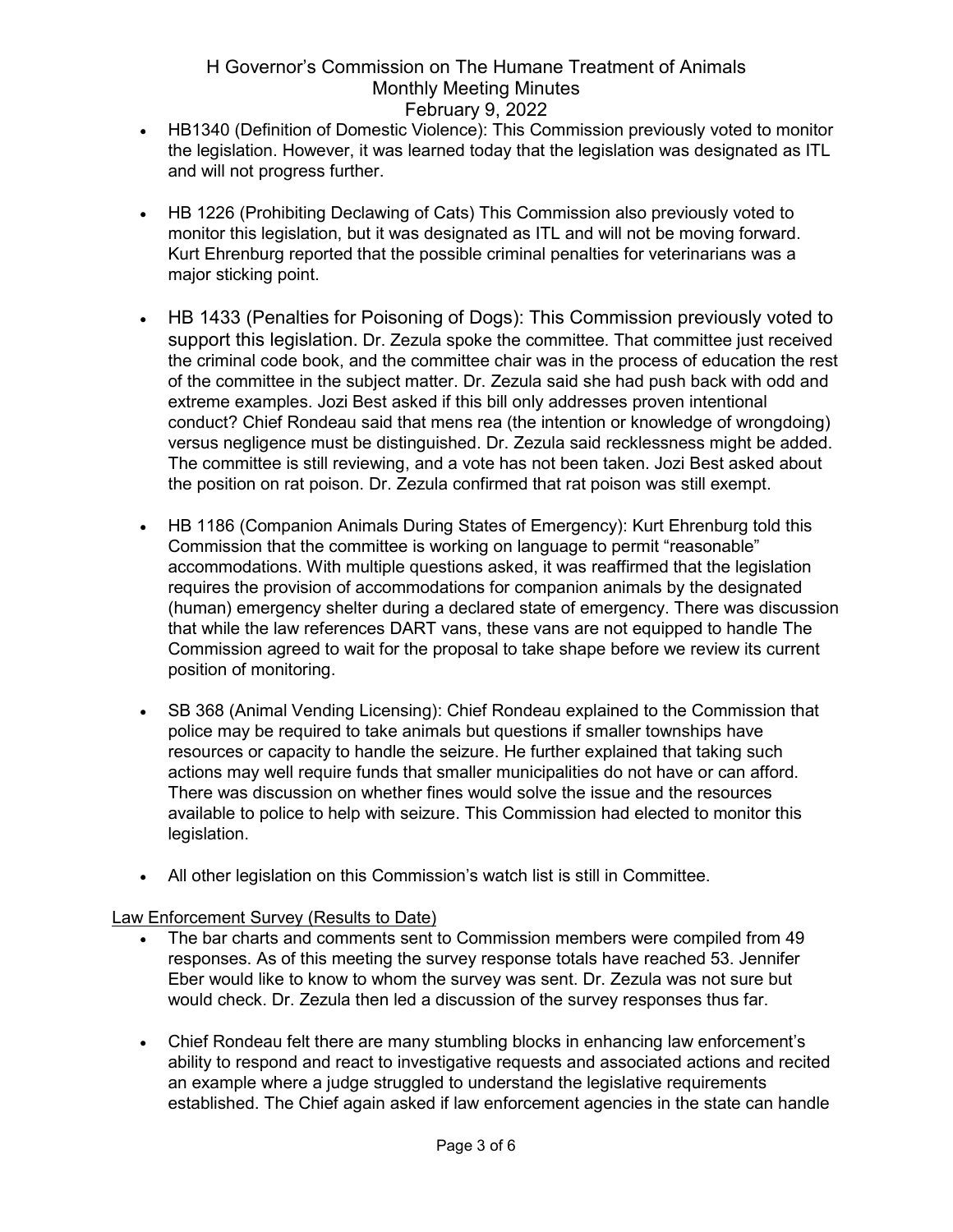- HB1340 (Definition of Domestic Violence): This Commission previously voted to monitor the legislation. However, it was learned today that the legislation was designated as ITL and will not progress further.
- HB 1226 (Prohibiting Declawing of Cats) This Commission also previously voted to monitor this legislation, but it was designated as ITL and will not be moving forward. Kurt Ehrenburg reported that the possible criminal penalties for veterinarians was a major sticking point.
- HB 1433 (Penalties for Poisoning of Dogs): This Commission previously voted to support this legislation. Dr. Zezula spoke the committee. That committee just received the criminal code book, and the committee chair was in the process of education the rest of the committee in the subject matter. Dr. Zezula said she had push back with odd and extreme examples. Jozi Best asked if this bill only addresses proven intentional conduct? Chief Rondeau said that mens rea (the intention or knowledge of wrongdoing) versus negligence must be distinguished. Dr. Zezula said recklessness might be added. The committee is still reviewing, and a vote has not been taken. Jozi Best asked about the position on rat poison. Dr. Zezula confirmed that rat poison was still exempt.
- HB 1186 (Companion Animals During States of Emergency): Kurt Ehrenburg told this Commission that the committee is working on language to permit "reasonable" accommodations. With multiple questions asked, it was reaffirmed that the legislation requires the provision of accommodations for companion animals by the designated (human) emergency shelter during a declared state of emergency. There was discussion that while the law references DART vans, these vans are not equipped to handle The Commission agreed to wait for the proposal to take shape before we review its current position of monitoring.
- SB 368 (Animal Vending Licensing): Chief Rondeau explained to the Commission that police may be required to take animals but questions if smaller townships have resources or capacity to handle the seizure. He further explained that taking such actions may well require funds that smaller municipalities do not have or can afford. There was discussion on whether fines would solve the issue and the resources available to police to help with seizure. This Commission had elected to monitor this legislation.
- All other legislation on this Commission's watch list is still in Committee.

Law Enforcement Survey (Results to Date)

- The bar charts and comments sent to Commission members were compiled from 49 responses. As of this meeting the survey response totals have reached 53. Jennifer Eber would like to know to whom the survey was sent. Dr. Zezula was not sure but would check. Dr. Zezula then led a discussion of the survey responses thus far.
- Chief Rondeau felt there are many stumbling blocks in enhancing law enforcement's ability to respond and react to investigative requests and associated actions and recited an example where a judge struggled to understand the legislative requirements established. The Chief again asked if law enforcement agencies in the state can handle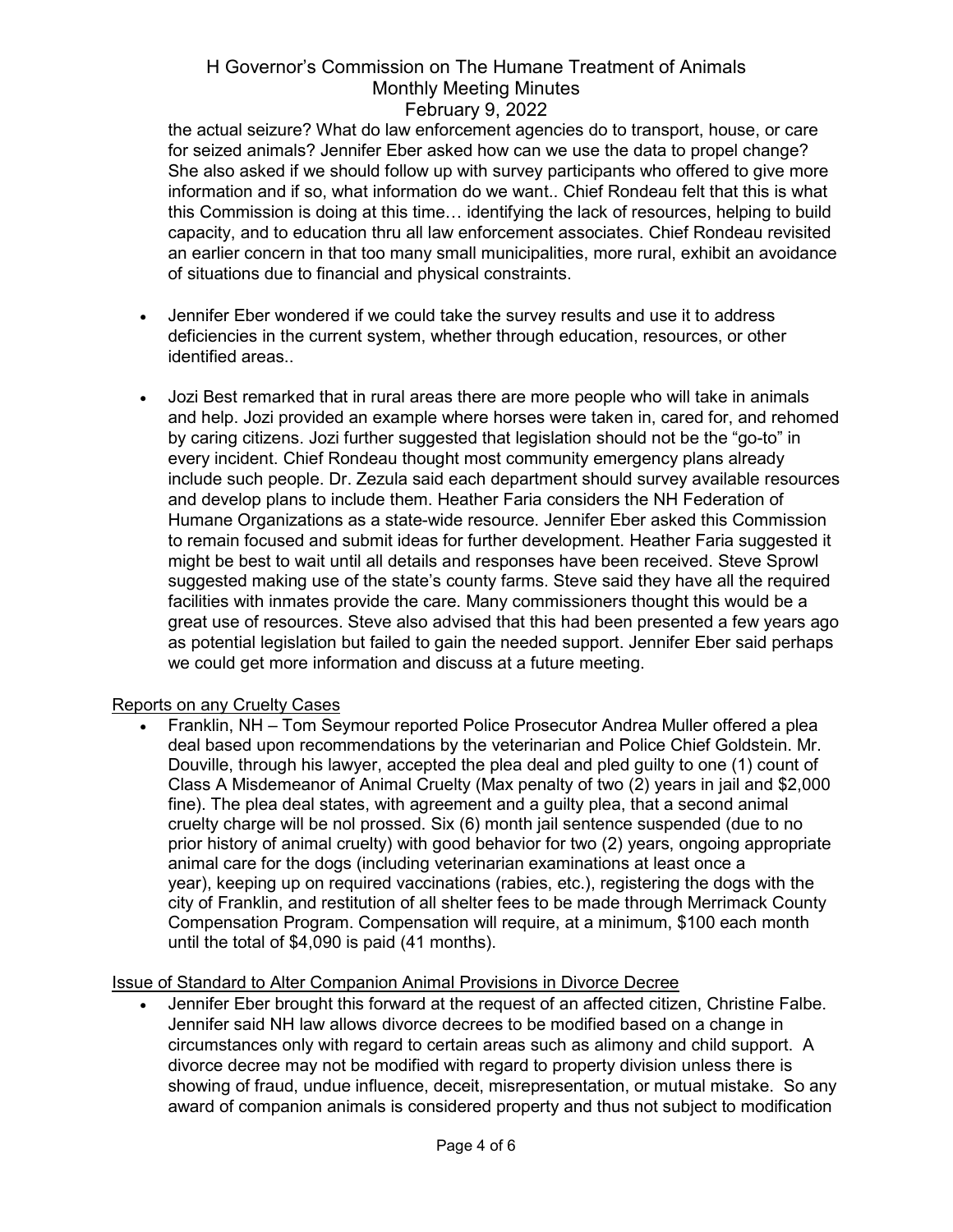the actual seizure? What do law enforcement agencies do to transport, house, or care for seized animals? Jennifer Eber asked how can we use the data to propel change? She also asked if we should follow up with survey participants who offered to give more information and if so, what information do we want.. Chief Rondeau felt that this is what this Commission is doing at this time… identifying the lack of resources, helping to build capacity, and to education thru all law enforcement associates. Chief Rondeau revisited an earlier concern in that too many small municipalities, more rural, exhibit an avoidance of situations due to financial and physical constraints.

- Jennifer Eber wondered if we could take the survey results and use it to address deficiencies in the current system, whether through education, resources, or other identified areas..
- Jozi Best remarked that in rural areas there are more people who will take in animals and help. Jozi provided an example where horses were taken in, cared for, and rehomed by caring citizens. Jozi further suggested that legislation should not be the "go-to" in every incident. Chief Rondeau thought most community emergency plans already include such people. Dr. Zezula said each department should survey available resources and develop plans to include them. Heather Faria considers the NH Federation of Humane Organizations as a state-wide resource. Jennifer Eber asked this Commission to remain focused and submit ideas for further development. Heather Faria suggested it might be best to wait until all details and responses have been received. Steve Sprowl suggested making use of the state's county farms. Steve said they have all the required facilities with inmates provide the care. Many commissioners thought this would be a great use of resources. Steve also advised that this had been presented a few years ago as potential legislation but failed to gain the needed support. Jennifer Eber said perhaps we could get more information and discuss at a future meeting.

### Reports on any Cruelty Cases

• Franklin, NH – Tom Seymour reported Police Prosecutor Andrea Muller offered a plea deal based upon recommendations by the veterinarian and Police Chief Goldstein. Mr. Douville, through his lawyer, accepted the plea deal and pled guilty to one (1) count of Class A Misdemeanor of Animal Cruelty (Max penalty of two (2) years in jail and \$2,000 fine). The plea deal states, with agreement and a guilty plea, that a second animal cruelty charge will be nol prossed. Six (6) month jail sentence suspended (due to no prior history of animal cruelty) with good behavior for two (2) years, ongoing appropriate animal care for the dogs (including veterinarian examinations at least once a year), keeping up on required vaccinations (rabies, etc.), registering the dogs with the city of Franklin, and restitution of all shelter fees to be made through Merrimack County Compensation Program. Compensation will require, at a minimum, \$100 each month until the total of \$4,090 is paid (41 months).

# Issue of Standard to Alter Companion Animal Provisions in Divorce Decree

• Jennifer Eber brought this forward at the request of an affected citizen, Christine Falbe. Jennifer said NH law allows divorce decrees to be modified based on a change in circumstances only with regard to certain areas such as alimony and child support. A divorce decree may not be modified with regard to property division unless there is showing of fraud, undue influence, deceit, misrepresentation, or mutual mistake. So any award of companion animals is considered property and thus not subject to modification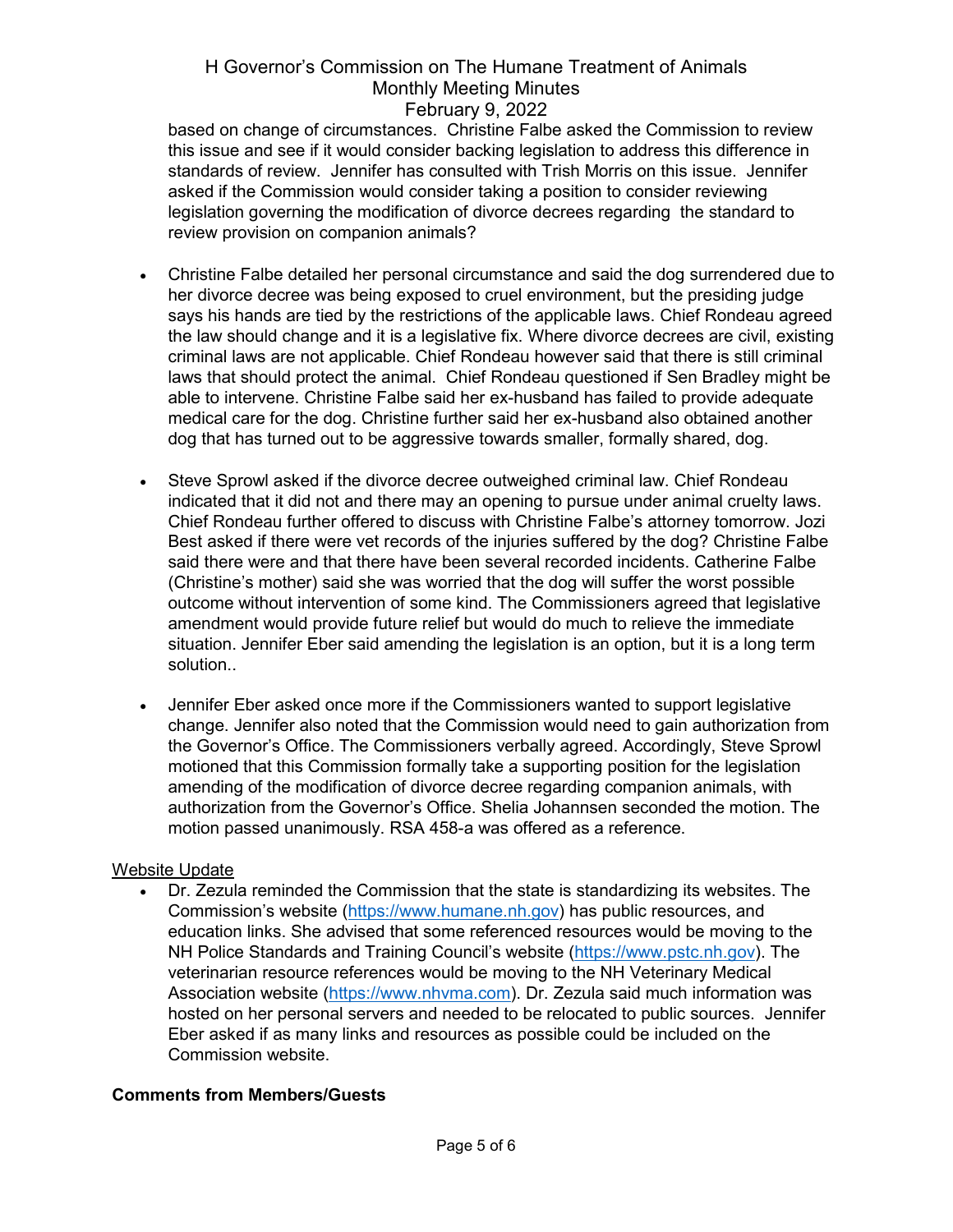based on change of circumstances. Christine Falbe asked the Commission to review this issue and see if it would consider backing legislation to address this difference in standards of review. Jennifer has consulted with Trish Morris on this issue. Jennifer asked if the Commission would consider taking a position to consider reviewing legislation governing the modification of divorce decrees regarding the standard to review provision on companion animals?

- Christine Falbe detailed her personal circumstance and said the dog surrendered due to her divorce decree was being exposed to cruel environment, but the presiding judge says his hands are tied by the restrictions of the applicable laws. Chief Rondeau agreed the law should change and it is a legislative fix. Where divorce decrees are civil, existing criminal laws are not applicable. Chief Rondeau however said that there is still criminal laws that should protect the animal. Chief Rondeau questioned if Sen Bradley might be able to intervene. Christine Falbe said her ex-husband has failed to provide adequate medical care for the dog. Christine further said her ex-husband also obtained another dog that has turned out to be aggressive towards smaller, formally shared, dog.
- Steve Sprowl asked if the divorce decree outweighed criminal law. Chief Rondeau indicated that it did not and there may an opening to pursue under animal cruelty laws. Chief Rondeau further offered to discuss with Christine Falbe's attorney tomorrow. Jozi Best asked if there were vet records of the injuries suffered by the dog? Christine Falbe said there were and that there have been several recorded incidents. Catherine Falbe (Christine's mother) said she was worried that the dog will suffer the worst possible outcome without intervention of some kind. The Commissioners agreed that legislative amendment would provide future relief but would do much to relieve the immediate situation. Jennifer Eber said amending the legislation is an option, but it is a long term solution..
- Jennifer Eber asked once more if the Commissioners wanted to support legislative change. Jennifer also noted that the Commission would need to gain authorization from the Governor's Office. The Commissioners verbally agreed. Accordingly, Steve Sprowl motioned that this Commission formally take a supporting position for the legislation amending of the modification of divorce decree regarding companion animals, with authorization from the Governor's Office. Shelia Johannsen seconded the motion. The motion passed unanimously. RSA 458-a was offered as a reference.

### Website Update

• Dr. Zezula reminded the Commission that the state is standardizing its websites. The Commission's website [\(https://www.humane.nh.gov\)](https://www.humane.nh.gov/) has public resources, and education links. She advised that some referenced resources would be moving to the NH Police Standards and Training Council's website [\(https://www.pstc.nh.gov\)](https://www.pstc.nh.gov/). The veterinarian resource references would be moving to the NH Veterinary Medical Association website [\(https://www.nhvma.com\)](https://www.nhvma.com/). Dr. Zezula said much information was hosted on her personal servers and needed to be relocated to public sources. Jennifer Eber asked if as many links and resources as possible could be included on the Commission website.

# **Comments from Members/Guests**